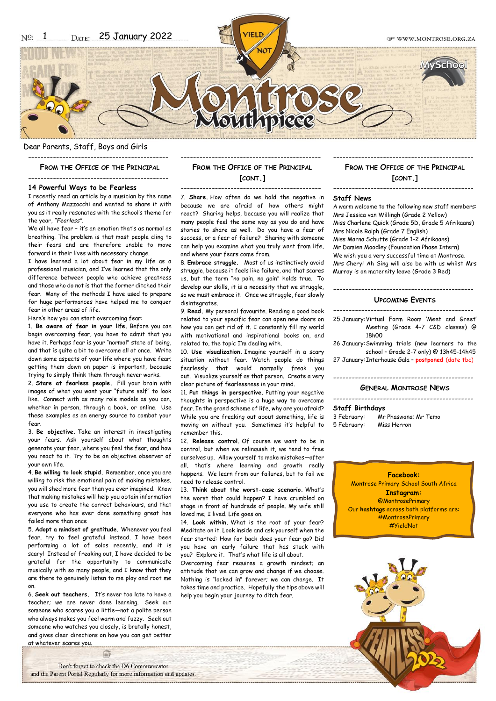**CP WWW MONTROSE ORG ZA** 

Dear Parents, Staff, Boys and Girls ---------------------------------------------

**FROM THE OFFICE OF THE PRINCIPAL**

---------------------------------------------

## **14 Powerful Ways to be Fearless**

I recently read an article by a musician by the name of Anthony Mazzocchi and wanted to share it with you as it really resonates with the school's theme for the year, *"Fearless"*.

We all have fear – it's an emotion that's as normal as breathing. The problem is that most people cling to their fears and are therefore unable to move forward in their lives with necessary change.

I have learned a lot about fear in my life as a professional musician, and I've learned that the only difference between people who achieve greatness and those who do not is that the former ditched their fear. Many of the methods I have used to prepare for huge performances have helped me to conquer fear in other areas of life.

Here's how you can start overcoming fear:

1. **Be aware of fear in your life.** Before you can begin overcoming fear, you have to admit that you have it. Perhaps fear is your "normal" state of being, and that is quite a bit to overcome all at once. Write down some aspects of your life where you have fear; getting them down on paper is important, because trying to simply think them through never works.

2. **Stare at fearless people.** Fill your brain with images of what you want your "future self" to look like. Connect with as many role models as you can, whether in person, through a book, or online. Use these examples as an energy source to combat your fear.

3. **Be objective.** Take an interest in investigating your fears. Ask yourself about what thoughts generate your fear, where you feel the fear, and how you react to it. Try to be an objective observer of your own life.

4. **Be willing to look stupid.** Remember, once you are willing to risk the emotional pain of making mistakes. you will shed more fear than you ever imagined. Know that making mistakes will help you obtain information you use to create the correct behaviours, and that everyone who has ever done something great has failed more than once

5. **Adopt a mindset of gratitude.** Whenever you feel fear, try to feel grateful instead. I have been performing a lot of solos recently, and it is scary! Instead of freaking out, I have decided to be grateful for the opportunity to communicate musically with so many people, and I know that they are there to genuinely listen to me play and root me on.

6. **Seek out teachers.** It's never too late to have a teacher; we are never done learning. Seek out someone who scares you a little*—*not a polite person who always makes you feel warm and fuzzy. Seek out someone who watches you closely, is brutally honest, and gives clear directions on how you can get better at whatever scares you.

Don't forget to check the D6 Communicator and the Parent Portal Regularly for more information and updates.

E

# --------------------------------------------- **FROM THE OFFICE OF THE PRINCIPAL [CONT.]**

--------------------------------------------- 7. **Share.** How often do we hold the negative in because we are afraid of how others might react? Sharing helps, because you will realize that many people feel the same way as you do and have stories to share as well. Do you have a fear of success, or a fear of failure? Sharing with someone can help you examine what you truly want from life, and where your fears come from.

8. **Embrace struggle.** Most of us instinctively avoid struggle, because it feels like failure, and that scares us, but the term "no pain, no gain" holds true. To develop our skills, it is a necessity that we struggle, so we must embrace it. Once we struggle, fear slowly disintegrates.

9. **Read.** My personal favourite. Reading a good book related to your specific fear can open new doors on how you can get rid of it. I constantly fill my world with motivational and inspirational books on, and related to, the topic I'm dealing with.

10. **Use visualization.** Imagine yourself in a scary situation without fear. Watch people do things fearlessly that would normally freak you out. Visualize yourself as that person. Create a very clear picture of fearlessness in your mind.

11. **Put things in perspective.** Putting your negative thoughts in perspective is a huge way to overcome fear. In the grand scheme of life, why are you afraid? While you are freaking out about something, life is moving on without you. Sometimes it's helpful to remember this.

12. **Release control.** Of course we want to be in control, but when we relinquish it, we tend to free ourselves up. Allow yourself to make mistakes*—*after all, that's where learning and growth really happens. We learn from our failures, but to fail we need to release control.

13. **Think about the worst-case scenario.** What's the worst that could happen? I have crumbled on stage in front of hundreds of people. My wife still loved me; I lived. Life goes on.

14. **Look within.** What is the root of your fear? Meditate on it. Look inside and ask yourself when the fear started: How far back does your fear go? Did you have an early failure that has stuck with you? Explore it. That's what life is all about.

Overcoming fear requires a growth mindset; an attitude that we can grow and change if we choose. Nothing is "locked in" forever; we can change. It takes time and practice. Hopefully the tips above will help you begin your journey to ditch fear.

### --------------------------------------------- **FROM THE OFFICE OF THE PRINCIPAL [CONT.]** ---------------------------------------------

### **Staff News**

A warm welcome to the following new staff members: Mrs Jessica van Willingh (Grade 2 Yellow) Miss Charlene Quick (Grade 5D, Grade 5 Afrikaans) Mrs Nicole Ralph (Grade 7 English) Miss Marna Schutte (Grade 1-2 Afrikaans) Mr Damien Moodley (Foundation Phase Intern) We wish you a very successful time at Montrose. Mrs Cheryl Ah Sing will also be with us whilst Mrs Murray is on maternity leave (Grade 3 Red)

# ---------------------------------------------

# **UPCOMING EVENTS**

--------------------------------------------- 25 January:Virtual Form Room 'Meet and Greet' Meeting (Grade 4-7 C&D classes) @ 18h00

26 January:Swimming trials (new learners to the school – Grade 2-7 only) @ 13h45-14h45

27 January:Interhouse Gala – **postponed** (date tbc)

### --------------------------------------------- **GENERAL MONTROSE NEWS**

---------------------------------------------

#### **Staff Birthdays**

3 February: Mr Phaswana; Mr Temo 5 February: Miss Herron

> **Facebook:** Montrose Primary School South Africa **Instagram:** @MontrosePrimary Our **hashtags** across both platforms are: #MontrosePrimary #YieldNot